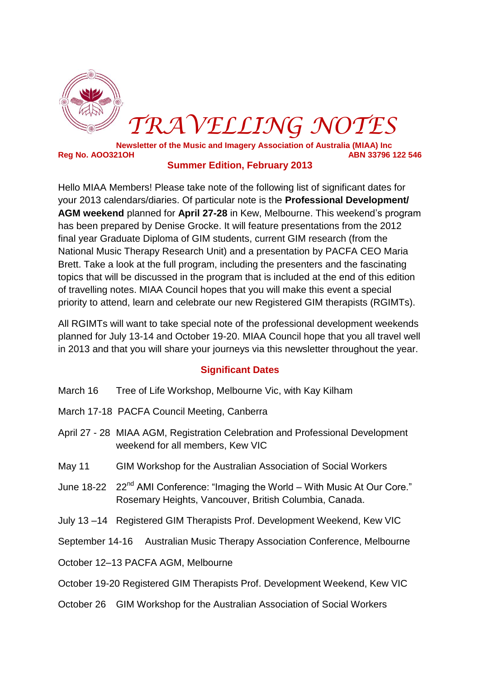

# *TRAVELLING NOTES*

**Newsletter of the Music and Imagery Association of Australia (MIAA) Inc Reg No. AOO321OH ABN 33796 122 546** 

## **Summer Edition, February 2013**

Hello MIAA Members! Please take note of the following list of significant dates for your 2013 calendars/diaries. Of particular note is the **Professional Development/ AGM weekend** planned for **April 27-28** in Kew, Melbourne. This weekend's program has been prepared by Denise Grocke. It will feature presentations from the 2012 final year Graduate Diploma of GIM students, current GIM research (from the National Music Therapy Research Unit) and a presentation by PACFA CEO Maria Brett. Take a look at the full program, including the presenters and the fascinating topics that will be discussed in the program that is included at the end of this edition of travelling notes. MIAA Council hopes that you will make this event a special priority to attend, learn and celebrate our new Registered GIM therapists (RGIMTs).

All RGIMTs will want to take special note of the professional development weekends planned for July 13-14 and October 19-20. MIAA Council hope that you all travel well in 2013 and that you will share your journeys via this newsletter throughout the year.

## **Significant Dates**

- March 16 Tree of Life Workshop, Melbourne Vic, with Kay Kilham
- March 17-18 PACFA Council Meeting, Canberra
- April 27 28 MIAA AGM, Registration Celebration and Professional Development weekend for all members, Kew VIC
- May 11 GIM Workshop for the Australian Association of Social Workers
- June 18-22 22<sup>nd</sup> AMI Conference: "Imaging the World With Music At Our Core." Rosemary Heights, Vancouver, British Columbia, Canada.
- July 13 –14 Registered GIM Therapists Prof. Development Weekend, Kew VIC
- September 14-16 Australian Music Therapy Association Conference, Melbourne
- October 12–13 PACFA AGM, Melbourne
- October 19-20 Registered GIM Therapists Prof. Development Weekend, Kew VIC
- October 26 GIM Workshop for the Australian Association of Social Workers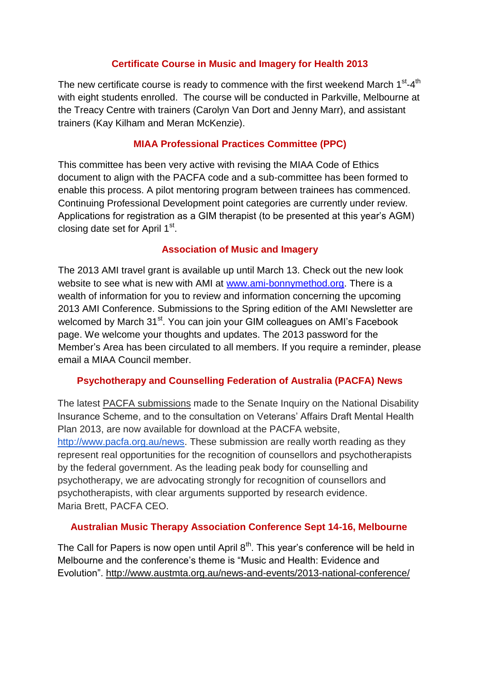# **Certificate Course in Music and Imagery for Health 2013**

The new certificate course is ready to commence with the first weekend March  $1<sup>st</sup>$ -4<sup>th</sup> with eight students enrolled. The course will be conducted in Parkville, Melbourne at the Treacy Centre with trainers (Carolyn Van Dort and Jenny Marr), and assistant trainers (Kay Kilham and Meran McKenzie).

# **MIAA Professional Practices Committee (PPC)**

This committee has been very active with revising the MIAA Code of Ethics document to align with the PACFA code and a sub-committee has been formed to enable this process. A pilot mentoring program between trainees has commenced. Continuing Professional Development point categories are currently under review. Applications for registration as a GIM therapist (to be presented at this year's AGM) closing date set for April 1<sup>st</sup>.

# **Association of Music and Imagery**

The 2013 AMI travel grant is available up until March 13. Check out the new look website to see what is new with AMI at [www.ami-bonnymethod.org.](http://www.ami-bonnymethod.org/) There is a wealth of information for you to review and information concerning the upcoming 2013 AMI Conference. Submissions to the Spring edition of the AMI Newsletter are welcomed by March 31<sup>st</sup>. You can join your GIM colleagues on AMI's Facebook page. We welcome your thoughts and updates. The 2013 password for the Member's Area has been circulated to all members. If you require a reminder, please email a MIAA Council member.

# **Psychotherapy and Counselling Federation of Australia (PACFA) News**

The latest PACFA submissions made to the Senate Inquiry on the National Disability Insurance Scheme, and to the consultation on Veterans' Affairs Draft Mental Health Plan 2013, are now available for download at the PACFA website, [http://www.pacfa.org.au/news.](http://www.pacfa.org.au/news) These submission are really worth reading as they represent real opportunities for the recognition of counsellors and psychotherapists by the federal government. As the leading peak body for counselling and psychotherapy, we are advocating strongly for recognition of counsellors and psychotherapists, with clear arguments supported by research evidence. Maria Brett, PACFA CEO.

## **Australian Music Therapy Association Conference Sept 14-16, Melbourne**

The Call for Papers is now open until April  $8<sup>th</sup>$ . This year's conference will be held in Melbourne and the conference's theme is "Music and Health: Evidence and Evolution". http://www.austmta.org.au/news-and-events/2013-national-conference/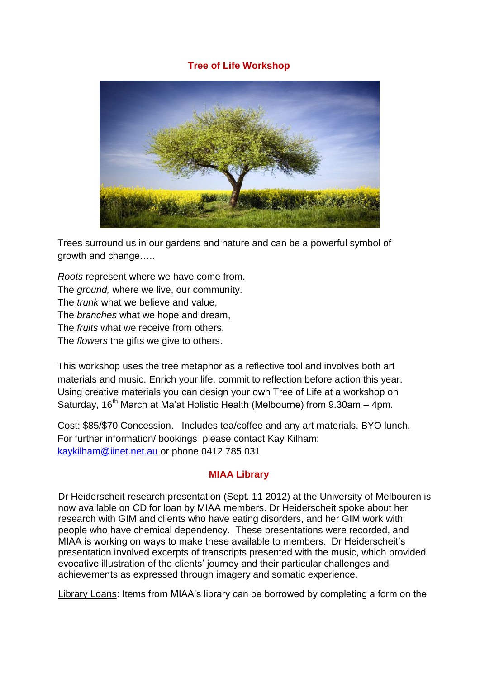## **Tree of Life Workshop**



Trees surround us in our gardens and nature and can be a powerful symbol of growth and change…..

*Roots* represent where we have come from. The *ground,* where we live, our community. The *trunk* what we believe and value, The *branches* what we hope and dream, The *fruits* what we receive from others. The *flowers* the gifts we give to others.

This workshop uses the tree metaphor as a reflective tool and involves both art materials and music. Enrich your life, commit to reflection before action this year. Using creative materials you can design your own Tree of Life at a workshop on Saturday, 16<sup>th</sup> March at Ma'at Holistic Health (Melbourne) from 9.30am – 4pm.

Cost: \$85/\$70 Concession. Includes tea/coffee and any art materials. BYO lunch. For further information/ bookings please contact Kay Kilham: [kaykilham@iinet.net.au](mailto:kaykilham@iinet.net.au) or phone 0412 785 031

## **MIAA Library**

Dr Heiderscheit research presentation (Sept. 11 2012) at the University of Melbouren is now available on CD for loan by MIAA members. Dr Heiderscheit spoke about her research with GIM and clients who have eating disorders, and her GIM work with people who have chemical dependency. These presentations were recorded, and MIAA is working on ways to make these available to members. Dr Heiderscheit's presentation involved excerpts of transcripts presented with the music, which provided evocative illustration of the clients' journey and their particular challenges and achievements as expressed through imagery and somatic experience.

Library Loans: Items from MIAA's library can be borrowed by completing a form on the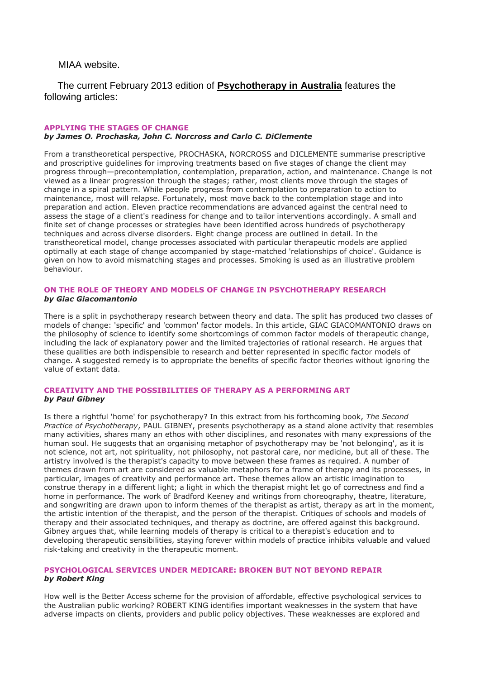MIAA website.

The current February 2013 edition of **Psychotherapy in Australia** features the following articles:

#### **APPLYING THE STAGES OF CHANGE** *by James O. Prochaska, John C. Norcross and Carlo C. DiClemente*

From a transtheoretical perspective, PROCHASKA, NORCROSS and DICLEMENTE summarise prescriptive and proscriptive guidelines for improving treatments based on five stages of change the client may progress through—precontemplation, contemplation, preparation, action, and maintenance. Change is not viewed as a linear progression through the stages; rather, most clients move through the stages of change in a spiral pattern. While people progress from contemplation to preparation to action to maintenance, most will relapse. Fortunately, most move back to the contemplation stage and into preparation and action. Eleven practice recommendations are advanced against the central need to assess the stage of a client's readiness for change and to tailor interventions accordingly. A small and finite set of change processes or strategies have been identified across hundreds of psychotherapy techniques and across diverse disorders. Eight change process are outlined in detail. In the transtheoretical model, change processes associated with particular therapeutic models are applied optimally at each stage of change accompanied by stage-matched 'relationships of choice'. Guidance is given on how to avoid mismatching stages and processes. Smoking is used as an illustrative problem behaviour.

#### **ON THE ROLE OF THEORY AND MODELS OF CHANGE IN PSYCHOTHERAPY RESEARCH** *by Giac Giacomantonio*

There is a split in psychotherapy research between theory and data. The split has produced two classes of models of change: 'specific' and 'common' factor models. In this article, GIAC GIACOMANTONIO draws on the philosophy of science to identify some shortcomings of common factor models of therapeutic change, including the lack of explanatory power and the limited trajectories of rational research. He argues that these qualities are both indispensible to research and better represented in specific factor models of change. A suggested remedy is to appropriate the benefits of specific factor theories without ignoring the value of extant data.

#### **CREATIVITY AND THE POSSIBILITIES OF THERAPY AS A PERFORMING ART** *by Paul Gibney*

Is there a rightful 'home' for psychotherapy? In this extract from his forthcoming book, *The Second Practice of Psychotherapy*, PAUL GIBNEY, presents psychotherapy as a stand alone activity that resembles many activities, shares many an ethos with other disciplines, and resonates with many expressions of the human soul. He suggests that an organising metaphor of psychotherapy may be 'not belonging', as it is not science, not art, not spirituality, not philosophy, not pastoral care, nor medicine, but all of these. The artistry involved is the therapist's capacity to move between these frames as required. A number of themes drawn from art are considered as valuable metaphors for a frame of therapy and its processes, in particular, images of creativity and performance art. These themes allow an artistic imagination to construe therapy in a different light; a light in which the therapist might let go of correctness and find a home in performance. The work of Bradford Keeney and writings from choreography, theatre, literature, and songwriting are drawn upon to inform themes of the therapist as artist, therapy as art in the moment, the artistic intention of the therapist, and the person of the therapist. Critiques of schools and models of therapy and their associated techniques, and therapy as doctrine, are offered against this background. Gibney argues that, while learning models of therapy is critical to a therapist's education and to developing therapeutic sensibilities, staying forever within models of practice inhibits valuable and valued risk-taking and creativity in the therapeutic moment.

#### **PSYCHOLOGICAL SERVICES UNDER MEDICARE: BROKEN BUT NOT BEYOND REPAIR** *by Robert King*

How well is the Better Access scheme for the provision of affordable, effective psychological services to the Australian public working? ROBERT KING identifies important weaknesses in the system that have adverse impacts on clients, providers and public policy objectives. These weaknesses are explored and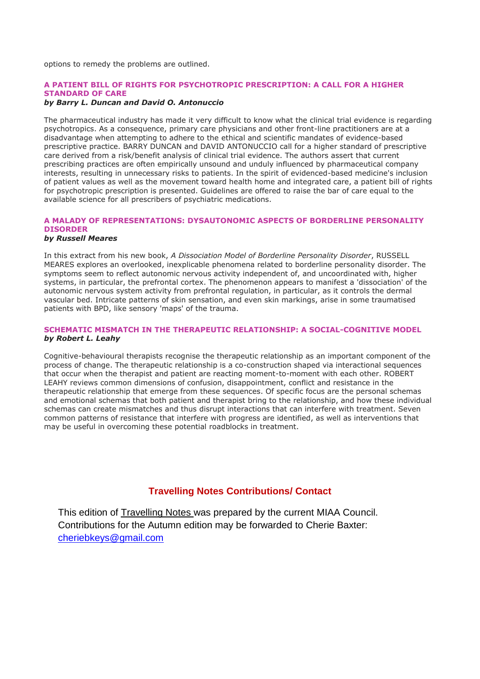options to remedy the problems are outlined.

#### **A PATIENT BILL OF RIGHTS FOR PSYCHOTROPIC PRESCRIPTION: A CALL FOR A HIGHER STANDARD OF CARE**

#### *by Barry L. Duncan and David O. Antonuccio*

The pharmaceutical industry has made it very difficult to know what the clinical trial evidence is regarding psychotropics. As a consequence, primary care physicians and other front-line practitioners are at a disadvantage when attempting to adhere to the ethical and scientific mandates of evidence-based prescriptive practice. BARRY DUNCAN and DAVID ANTONUCCIO call for a higher standard of prescriptive care derived from a risk/benefit analysis of clinical trial evidence. The authors assert that current prescribing practices are often empirically unsound and unduly influenced by pharmaceutical company interests, resulting in unnecessary risks to patients. In the spirit of evidenced-based medicine's inclusion of patient values as well as the movement toward health home and integrated care, a patient bill of rights for psychotropic prescription is presented. Guidelines are offered to raise the bar of care equal to the available science for all prescribers of psychiatric medications.

#### **A MALADY OF REPRESENTATIONS: DYSAUTONOMIC ASPECTS OF BORDERLINE PERSONALITY DISORDER**

#### *by Russell Meares*

In this extract from his new book, *A Dissociation Model of Borderline Personality Disorder*, RUSSELL MEARES explores an overlooked, inexplicable phenomena related to borderline personality disorder. The symptoms seem to reflect autonomic nervous activity independent of, and uncoordinated with, higher systems, in particular, the prefrontal cortex. The phenomenon appears to manifest a 'dissociation' of the autonomic nervous system activity from prefrontal regulation, in particular, as it controls the dermal vascular bed. Intricate patterns of skin sensation, and even skin markings, arise in some traumatised patients with BPD, like sensory 'maps' of the trauma.

#### **SCHEMATIC MISMATCH IN THE THERAPEUTIC RELATIONSHIP: A SOCIAL-COGNITIVE MODEL** *by Robert L. Leahy*

Cognitive-behavioural therapists recognise the therapeutic relationship as an important component of the process of change. The therapeutic relationship is a co-construction shaped via interactional sequences that occur when the therapist and patient are reacting moment-to-moment with each other. ROBERT LEAHY reviews common dimensions of confusion, disappointment, conflict and resistance in the therapeutic relationship that emerge from these sequences. Of specific focus are the personal schemas and emotional schemas that both patient and therapist bring to the relationship, and how these individual schemas can create mismatches and thus disrupt interactions that can interfere with treatment. Seven common patterns of resistance that interfere with progress are identified, as well as interventions that may be useful in overcoming these potential roadblocks in treatment.

## **Travelling Notes Contributions/ Contact**

This edition of Travelling Notes was prepared by the current MIAA Council. Contributions for the Autumn edition may be forwarded to Cherie Baxter: [cheriebkeys@gmail.com](mailto:cheriebkeys@gmail.com)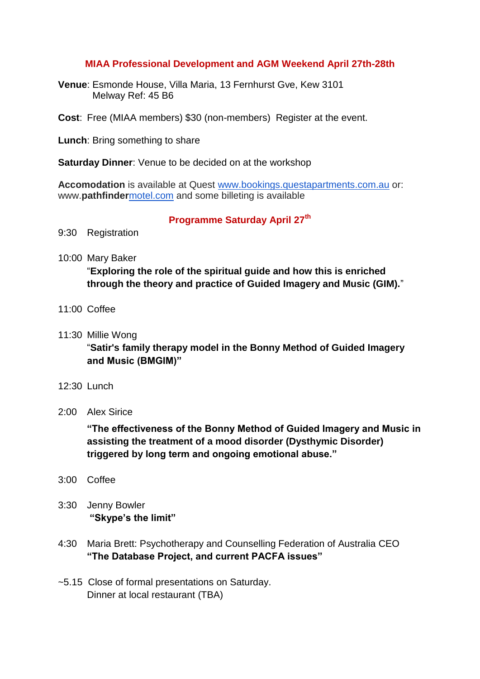## **MIAA Professional Development and AGM Weekend April 27th-28th**

- **Venue**: Esmonde House, Villa Maria, 13 Fernhurst Gve, Kew 3101 Melway Ref: 45 B6
- **Cost**: Free (MIAA members) \$30 (non-members) Register at the event.
- **Lunch**: Bring something to share

**Saturday Dinner**: Venue to be decided on at the workshop

**Accomodation** is available at Quest [www.bookings.questapartments.com.au](http://www.bookings.questapartments.com.au/) or: www.**pathfinder**[motel.com](http://motel.com/) and some billeting is available

### **Programme Saturday April 27th**

- 9:30 Registration
- 10:00 Mary Baker

"**Exploring the role of the spiritual guide and how this is enriched through the theory and practice of Guided Imagery and Music (GIM).**"

- 11:00 Coffee
- 11:30 Millie Wong

"**Satir's family therapy model in the Bonny Method of Guided Imagery and Music (BMGIM)"**

- 12:30 Lunch
- 2:00 Alex Sirice

**"The effectiveness of the Bonny Method of Guided Imagery and Music in assisting the treatment of a mood disorder (Dysthymic Disorder) triggered by long term and ongoing emotional abuse."**

- 3:00 Coffee
- 3:30 Jenny Bowler **"Skype's the limit"**
- 4:30 Maria Brett: Psychotherapy and Counselling Federation of Australia CEO **"The Database Project, and current PACFA issues"**
- ~5.15 Close of formal presentations on Saturday. Dinner at local restaurant (TBA)